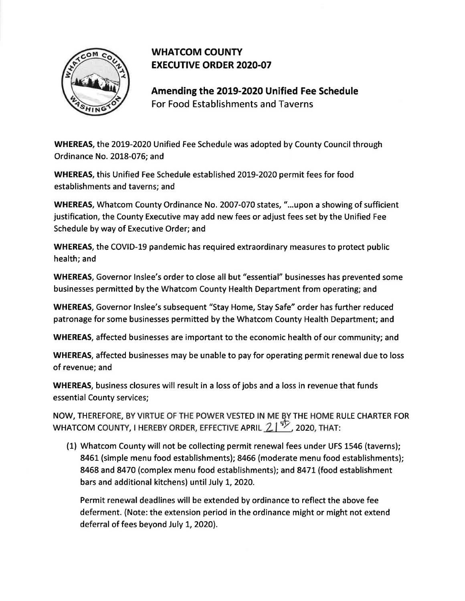

## **WHATCOM COUNTY EXECUTIVE ORDER 2020-07**

**Amending the 2019-2020 Unified Fee Schedule**  For Food Establishments and Taverns

**WHEREAS,** the 2019-2020 Unified Fee Schedule was adopted by County Council through Ordinance No. 2018-076; and

**WHEREAS,** this Unified Fee Schedule established 2019-2020 permit fees for food establishments and taverns; and

**WHEREAS,** Whatcom County Ordinance No. 2007-070 states, " ...upon a showing of sufficient justification, the County Executive may add new fees or adjust fees set by the Unified Fee Schedule by way of Executive Order; and

**WHEREAS,** the COVID-19 pandemic has required extraordinary measures to protect public health; and

**WHEREAS,** Governor lnslee's order to close all but "essential" businesses has prevented some businesses permitted by the Whatcom County Health Department from operating; and

**WHEREAS,** Governor lnslee's subsequent "Stay Home, Stay Safe" order has further reduced patronage for some businesses permitted by the Whatcom County Health Department; and

**WHEREAS,** affected businesses are important to the economic health of our community; and

**WHEREAS,** affected businesses may be unable to pay for operating permit renewal due to loss of revenue; and

**WHEREAS,** business closures will result in a loss of jobs and a loss in revenue that funds essential County services;

NOW, THEREFORE, BY VIRTUE OF THE POWER VESTED IN MElY THE HOME RULE CHARTER FOR WHATCOM COUNTY, I HEREBY ORDER, EFFECTIVE APRIL  $21^{4/2}$ , 2020, THAT:

(1) Whatcom County will not be collecting permit renewal fees under UFS 1546 (taverns); 8461 (simple menu food establishments); 8466 (moderate menu food establishments); 8468 and 8470 (complex menu food establishments); and 8471 (food establishment bars and additional kitchens) until July 1, 2020.

Permit renewal deadlines will be extended by ordinance to reflect the above fee deferment. (Note: the extension period in the ordinance might or might not extend deferral of fees beyond July 1, 2020}.